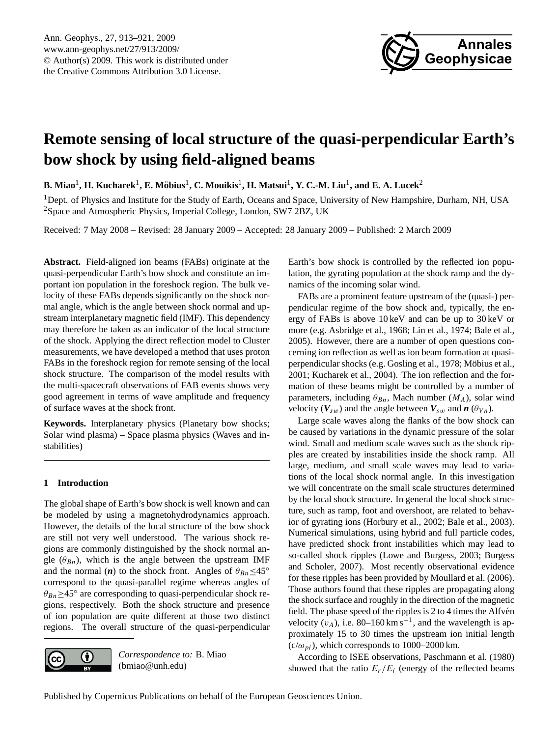

# <span id="page-0-0"></span>**Remote sensing of local structure of the quasi-perpendicular Earth's bow shock by using field-aligned beams**

 ${\bf B. Miao}^1,$   ${\bf H. Kucharek}^1,$   ${\bf E. M\"obius}^1,$   ${\bf C. Mouikis}^1,$   ${\bf H. Matsui}^1,$   ${\bf Y. C.-M. Liu}^1,$  and  ${\bf E. A. Lucek}^2$ 

<sup>1</sup>Dept. of Physics and Institute for the Study of Earth, Oceans and Space, University of New Hampshire, Durham, NH, USA <sup>2</sup>Space and Atmospheric Physics, Imperial College, London, SW7 2BZ, UK

Received: 7 May 2008 – Revised: 28 January 2009 – Accepted: 28 January 2009 – Published: 2 March 2009

**Abstract.** Field-aligned ion beams (FABs) originate at the quasi-perpendicular Earth's bow shock and constitute an important ion population in the foreshock region. The bulk velocity of these FABs depends significantly on the shock normal angle, which is the angle between shock normal and upstream interplanetary magnetic field (IMF). This dependency may therefore be taken as an indicator of the local structure of the shock. Applying the direct reflection model to Cluster measurements, we have developed a method that uses proton FABs in the foreshock region for remote sensing of the local shock structure. The comparison of the model results with the multi-spacecraft observations of FAB events shows very good agreement in terms of wave amplitude and frequency of surface waves at the shock front.

**Keywords.** Interplanetary physics (Planetary bow shocks; Solar wind plasma) – Space plasma physics (Waves and instabilities)

## **1 Introduction**

The global shape of Earth's bow shock is well known and can be modeled by using a magnetohydrodynamics approach. However, the details of the local structure of the bow shock are still not very well understood. The various shock regions are commonly distinguished by the shock normal angle  $(\theta_{Bn})$ , which is the angle between the upstream IMF and the normal (*n*) to the shock front. Angles of  $\theta_{Bn} \leq 45^{\circ}$ correspond to the quasi-parallel regime whereas angles of  $\theta_{Bn} \ge 45^{\circ}$  are corresponding to quasi-perpendicular shock regions, respectively. Both the shock structure and presence of ion population are quite different at those two distinct regions. The overall structure of the quasi-perpendicular



*Correspondence to:* B. Miao (bmiao@unh.edu)

Earth's bow shock is controlled by the reflected ion population, the gyrating population at the shock ramp and the dynamics of the incoming solar wind.

FABs are a prominent feature upstream of the (quasi-) perpendicular regime of the bow shock and, typically, the energy of FABs is above 10 keV and can be up to 30 keV or more (e.g. [Asbridge et al.,](#page-7-0) [1968;](#page-7-0) [Lin et al.,](#page-8-0) [1974;](#page-8-0) [Bale et al.,](#page-7-1) [2005\)](#page-7-1). However, there are a number of open questions concerning ion reflection as well as ion beam formation at quasi-perpendicular shocks (e.g. [Gosling et al.,](#page-7-2) [1978;](#page-7-2) Möbius et al., [2001;](#page-8-1) [Kucharek et al.,](#page-8-2) [2004\)](#page-8-2). The ion reflection and the formation of these beams might be controlled by a number of parameters, including  $\theta_{Bn}$ , Mach number ( $M_A$ ), solar wind velocity ( $V_{sw}$ ) and the angle between  $V_{sw}$  and  $n(\theta_{Vn})$ .

Large scale waves along the flanks of the bow shock can be caused by variations in the dynamic pressure of the solar wind. Small and medium scale waves such as the shock ripples are created by instabilities inside the shock ramp. All large, medium, and small scale waves may lead to variations of the local shock normal angle. In this investigation we will concentrate on the small scale structures determined by the local shock structure. In general the local shock structure, such as ramp, foot and overshoot, are related to behavior of gyrating ions [\(Horbury et al.,](#page-8-3) [2002;](#page-8-3) [Bale et al.,](#page-7-3) [2003\)](#page-7-3). Numerical simulations, using hybrid and full particle codes, have predicted shock front instabilities which may lead to so-called shock ripples [\(Lowe and Burgess,](#page-8-4) [2003;](#page-8-4) [Burgess](#page-7-4) [and Scholer,](#page-7-4) [2007\)](#page-7-4). Most recently observational evidence for these ripples has been provided by [Moullard et al.](#page-8-5) [\(2006\)](#page-8-5). Those authors found that these ripples are propagating along the shock surface and roughly in the direction of the magnetic field. The phase speed of the ripples is  $2$  to  $4$  times the Alfvén velocity  $(v_A)$ , i.e. 80–160 km s<sup>-1</sup>, and the wavelength is approximately 15 to 30 times the upstream ion initial length  $(c/\omega_{pi})$ , which corresponds to 1000–2000 km.

According to ISEE observations, [Paschmann et al.](#page-8-6) [\(1980\)](#page-8-6) showed that the ratio  $E_r/E_i$  (energy of the reflected beams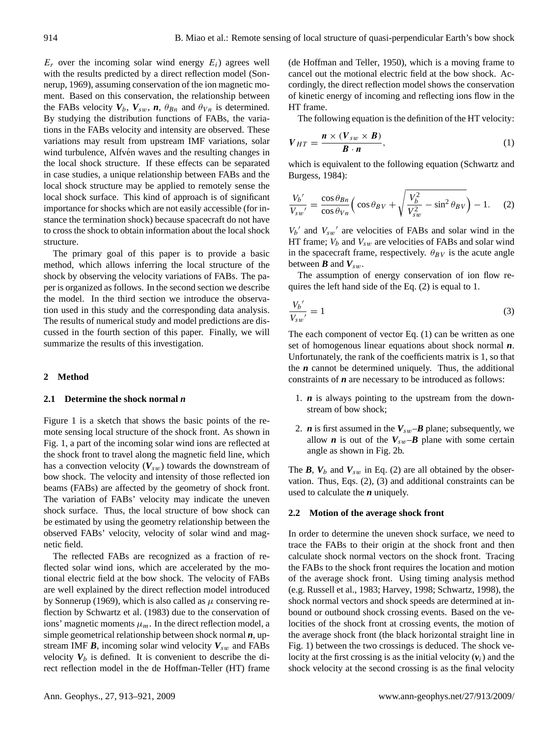$E_r$  over the incoming solar wind energy  $E_i$ ) agrees well with the results predicted by a direct reflection model [\(Son](#page-8-7)[nerup,](#page-8-7) [1969\)](#page-8-7), assuming conservation of the ion magnetic moment. Based on this conservation, the relationship between the FABs velocity  $V_b$ ,  $V_{sw}$ ,  $n$ ,  $\theta_{Bn}$  and  $\theta_{Vn}$  is determined. By studying the distribution functions of FABs, the variations in the FABs velocity and intensity are observed. These variations may result from upstream IMF variations, solar wind turbulence, Alfven waves and the resulting changes in the local shock structure. If these effects can be separated in case studies, a unique relationship between FABs and the local shock structure may be applied to remotely sense the local shock surface. This kind of approach is of significant importance for shocks which are not easily accessible (for instance the termination shock) because spacecraft do not have to cross the shock to obtain information about the local shock structure.

The primary goal of this paper is to provide a basic method, which allows inferring the local structure of the shock by observing the velocity variations of FABs. The paper is organized as follows. In the second section we describe the model. In the third section we introduce the observation used in this study and the corresponding data analysis. The results of numerical study and model predictions are discussed in the fourth section of this paper. Finally, we will summarize the results of this investigation.

#### **2 Method**

# **2.1 Determine the shock normal** *n*

Figure 1 is a sketch that shows the basic points of the remote sensing local structure of the shock front. As shown in Fig. 1, a part of the incoming solar wind ions are reflected at the shock front to travel along the magnetic field line, which has a convection velocity  $(V_{sw})$  towards the downstream of bow shock. The velocity and intensity of those reflected ion beams (FABs) are affected by the geometry of shock front. The variation of FABs' velocity may indicate the uneven shock surface. Thus, the local structure of bow shock can be estimated by using the geometry relationship between the observed FABs' velocity, velocity of solar wind and magnetic field.

The reflected FABs are recognized as a fraction of reflected solar wind ions, which are accelerated by the motional electric field at the bow shock. The velocity of FABs are well explained by the direct reflection model introduced by [Sonnerup](#page-8-7) [\(1969\)](#page-8-7), which is also called as  $\mu$  conserving reflection by [Schwartz et al.](#page-8-8) [\(1983\)](#page-8-8) due to the conservation of ions' magnetic moments  $\mu_m$ . In the direct reflection model, a simple geometrical relationship between shock normal *n*, upstream IMF  $\bm{B}$ , incoming solar wind velocity  $\bm{V}_{sw}$  and FABs velocity  $V_b$  is defined. It is convenient to describe the direct reflection model in the de Hoffman-Teller (HT) frame [\(de Hoffman and Teller,](#page-7-5) [1950\)](#page-7-5), which is a moving frame to cancel out the motional electric field at the bow shock. Accordingly, the direct reflection model shows the conservation of kinetic energy of incoming and reflecting ions flow in the HT frame.

The following equation is the definition of the HT velocity:

$$
V_{HT} = \frac{n \times (V_{sw} \times B)}{B \cdot n},
$$
 (1)

which is equivalent to the following equation [\(Schwartz and](#page-8-9) [Burgess,](#page-8-9) [1984\)](#page-8-9):

$$
\frac{V_b'}{V_{sw'}} = \frac{\cos \theta_{Bn}}{\cos \theta_{Vn}} \left( \cos \theta_{BV} + \sqrt{\frac{V_b^2}{V_{sw}^2} - \sin^2 \theta_{BV}} \right) - 1. \tag{2}
$$

 $V_b'$  and  $V_{sw}'$  are velocities of FABs and solar wind in the HT frame;  $V_b$  and  $V_{sw}$  are velocities of FABs and solar wind in the spacecraft frame, respectively.  $\theta_{BV}$  is the acute angle between  $\boldsymbol{B}$  and  $\boldsymbol{V}_{sw}$ .

The assumption of energy conservation of ion flow requires the left hand side of the Eq. (2) is equal to 1.

$$
\frac{V_b'}{V_{sw'}} = 1\tag{3}
$$

The each component of vector Eq. (1) can be written as one set of homogenous linear equations about shock normal *n*. Unfortunately, the rank of the coefficients matrix is 1, so that the *n* cannot be determined uniquely. Thus, the additional constraints of *n* are necessary to be introduced as follows:

- 1. *n* is always pointing to the upstream from the downstream of bow shock;
- 2. *n* is first assumed in the  $V_{sw}$ -*B* plane; subsequently, we allow *n* is out of the  $V_{sw}$ -*B* plane with some certain angle as shown in Fig. 2b.

The  $\mathbf{B}$ ,  $\mathbf{V}_b$  and  $\mathbf{V}_{sw}$  in Eq. (2) are all obtained by the observation. Thus, Eqs. (2), (3) and additional constraints can be used to calculate the *n* uniquely.

#### **2.2 Motion of the average shock front**

In order to determine the uneven shock surface, we need to trace the FABs to their origin at the shock front and then calculate shock normal vectors on the shock front. Tracing the FABs to the shock front requires the location and motion of the average shock front. Using timing analysis method (e.g. [Russell et al.,](#page-8-10) [1983;](#page-8-10) [Harvey,](#page-8-11) [1998;](#page-8-11) [Schwartz,](#page-8-12) [1998\)](#page-8-12), the shock normal vectors and shock speeds are determined at inbound or outbound shock crossing events. Based on the velocities of the shock front at crossing events, the motion of the average shock front (the black horizontal straight line in Fig. 1) between the two crossings is deduced. The shock velocity at the first crossing is as the initial velocity  $(v_i)$  and the shock velocity at the second crossing is as the final velocity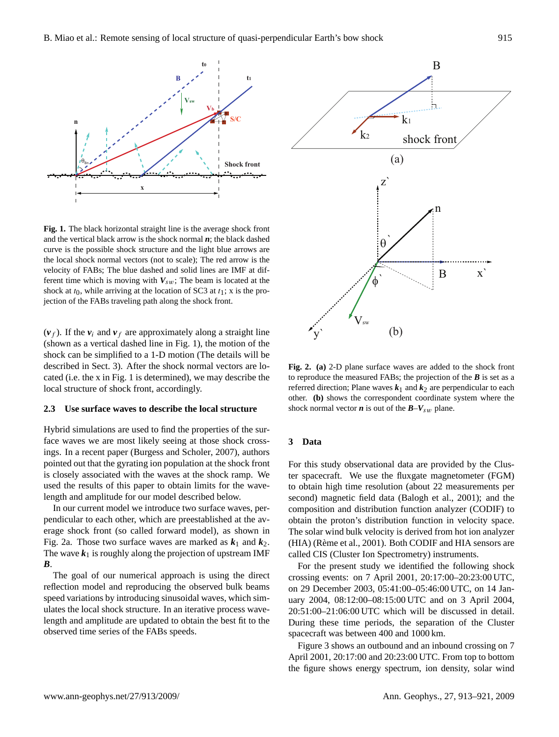

**Fig. 1.** The black horizontal straight line is the average shock front and the vertical black arrow is the shock normal  $n$ ; the black dashed curve is the possible shock structure and the light blue arrows are the local shock normal vectors (not to scale); The red arrow is the velocity of FABs; The blue dashed and solid lines are IMF at different time which is moving with  $V_{sw}$ ; The beam is located at the shock at  $t_0$ , while arriving at the location of SC3 at  $t_1$ ; x is the projection of the FABs traveling path along the shock front.

 $(v_f)$ . If the  $v_i$  and  $v_f$  are approximately along a straight line (shown as a vertical dashed line in Fig. 1), the motion of the shock can be simplified to a 1-D motion (The details will be described in Sect. 3). After the shock normal vectors are located (i.e. the x in Fig. 1 is determined), we may describe the local structure of shock front, accordingly.

## **2.3 Use surface waves to describe the local structure**

Hybrid simulations are used to find the properties of the surface waves we are most likely seeing at those shock crossings. In a recent paper [\(Burgess and Scholer,](#page-7-4) [2007\)](#page-7-4), authors pointed out that the gyrating ion population at the shock front is closely associated with the waves at the shock ramp. We used the results of this paper to obtain limits for the wavelength and amplitude for our model described below.

In our current model we introduce two surface waves, perpendicular to each other, which are preestablished at the average shock front (so called forward model), as shown in Fig. 2a. Those two surface waves are marked as  $k_1$  and  $k_2$ . The wave  $k_1$  is roughly along the projection of upstream IMF *B*.

The goal of our numerical approach is using the direct reflection model and reproducing the observed bulk beams speed variations by introducing sinusoidal waves, which simulates the local shock structure. In an iterative process wavelength and amplitude are updated to obtain the best fit to the observed time series of the FABs speeds.



**Fig. 2. (a)** 2-D plane surface waves are added to the shock front to reproduce the measured FABs; the projection of the *B* is set as a referred direction; Plane waves  $k_1$  and  $k_2$  are perpendicular to each other. **(b)** shows the correspondent coordinate system where the shock normal vector  $\boldsymbol{n}$  is out of the  $\boldsymbol{B}-V_{sw}$  plane.

#### **3 Data**

For this study observational data are provided by the Cluster spacecraft. We use the fluxgate magnetometer (FGM) to obtain high time resolution (about 22 measurements per second) magnetic field data [\(Balogh et al.,](#page-7-6) [2001\)](#page-7-6); and the composition and distribution function analyzer (CODIF) to obtain the proton's distribution function in velocity space. The solar wind bulk velocity is derived from hot ion analyzer (HIA) (Rème et al., [2001\)](#page-8-13). Both CODIF and HIA sensors are called CIS (Cluster Ion Spectrometry) instruments.

For the present study we identified the following shock crossing events: on 7 April 2001, 20:17:00–20:23:00 UTC, on 29 December 2003, 05:41:00–05:46:00 UTC, on 14 January 2004, 08:12:00–08:15:00 UTC and on 3 April 2004, 20:51:00–21:06:00 UTC which will be discussed in detail. During these time periods, the separation of the Cluster spacecraft was between 400 and 1000 km.

Figure 3 shows an outbound and an inbound crossing on 7 April 2001, 20:17:00 and 20:23:00 UTC. From top to bottom the figure shows energy spectrum, ion density, solar wind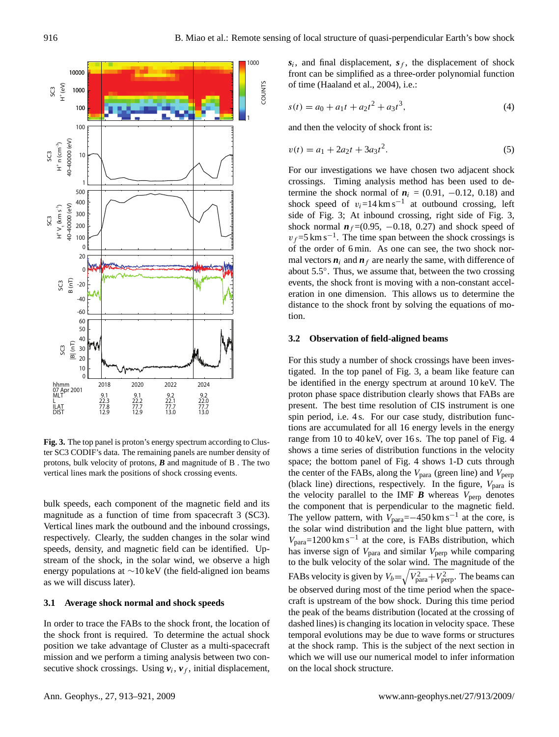

**Fig. 3.** The top panel is proton's energy spectrum according to Cluster SC3 CODIF's data. The remaining panels are number density of protons, bulk velocity of protons, *B* and magnitude of B . The two vertical lines mark the positions of shock crossing events.

bulk speeds, each component of the magnetic field and its magnitude as a function of time from spacecraft 3 (SC3). Vertical lines mark the outbound and the inbound crossings, respectively. Clearly, the sudden changes in the solar wind speeds, density, and magnetic field can be identified. Upstream of the shock, in the solar wind, we observe a high energy populations at ∼10 keV (the field-aligned ion beams as we will discuss later).

#### **3.1 Average shock normal and shock speeds**

In order to trace the FABs to the shock front, the location of the shock front is required. To determine the actual shock position we take advantage of Cluster as a multi-spacecraft mission and we perform a timing analysis between two consecutive shock crossings. Using  $v_i$ ,  $v_f$ , initial displacement,

 $s_i$ , and final displacement,  $s_f$ , the displacement of shock front can be simplified as a three-order polynomial function of time [\(Haaland et al.,](#page-8-14) [2004\)](#page-8-14), i.e.:

$$
s(t) = a_0 + a_1t + a_2t^2 + a_3t^3,
$$
\n(4)

and then the velocity of shock front is:

$$
v(t) = a_1 + 2a_2t + 3a_3t^2.
$$
 (5)

For our investigations we have chosen two adjacent shock crossings. Timing analysis method has been used to determine the shock normal of  $n_i = (0.91, -0.12, 0.18)$  and shock speed of  $v_i=14 \text{ km s}^{-1}$  at outbound crossing, left side of Fig. 3; At inbound crossing, right side of Fig. 3, shock normal  $n_f = (0.95, -0.18, 0.27)$  and shock speed of  $v_f$ =5 km s<sup>-1</sup>. The time span between the shock crossings is of the order of 6 min. As one can see, the two shock normal vectors  $n_i$  and  $n_f$  are nearly the same, with difference of about 5.5◦ . Thus, we assume that, between the two crossing events, the shock front is moving with a non-constant acceleration in one dimension. This allows us to determine the distance to the shock front by solving the equations of motion.

#### **3.2 Observation of field-aligned beams**

For this study a number of shock crossings have been investigated. In the top panel of Fig. 3, a beam like feature can be identified in the energy spectrum at around 10 keV. The proton phase space distribution clearly shows that FABs are present. The best time resolution of CIS instrument is one spin period, i.e. 4 s. For our case study, distribution functions are accumulated for all 16 energy levels in the energy range from 10 to 40 keV, over 16 s. The top panel of Fig. 4 shows a time series of distribution functions in the velocity space; the bottom panel of Fig. 4 shows 1-D cuts through the center of the FABs, along the  $V_{\text{para}}$  (green line) and  $V_{\text{perp}}$ (black line) directions, respectively. In the figure,  $V_{\text{para}}$  is the velocity parallel to the IMF  $\boldsymbol{B}$  whereas  $V_{\text{perp}}$  denotes the component that is perpendicular to the magnetic field. The yellow pattern, with  $V_{\text{para}} = -450 \text{ km s}^{-1}$  at the core, is the solar wind distribution and the light blue pattern, with  $V_{\text{para}}$ =1200 km s<sup>-1</sup> at the core, is FABs distribution, which has inverse sign of  $V_{\text{para}}$  and similar  $V_{\text{perp}}$  while comparing to the bulk velocity of the solar wind. The magnitude of the FABs velocity is given by  $V_b = \sqrt{V_{\text{para}}^2 + V_{\text{perp}}^2}$ . The beams can be observed during most of the time period when the spacecraft is upstream of the bow shock. During this time period the peak of the beams distribution (located at the crossing of dashed lines) is changing its location in velocity space. These temporal evolutions may be due to wave forms or structures at the shock ramp. This is the subject of the next section in which we will use our numerical model to infer information on the local shock structure.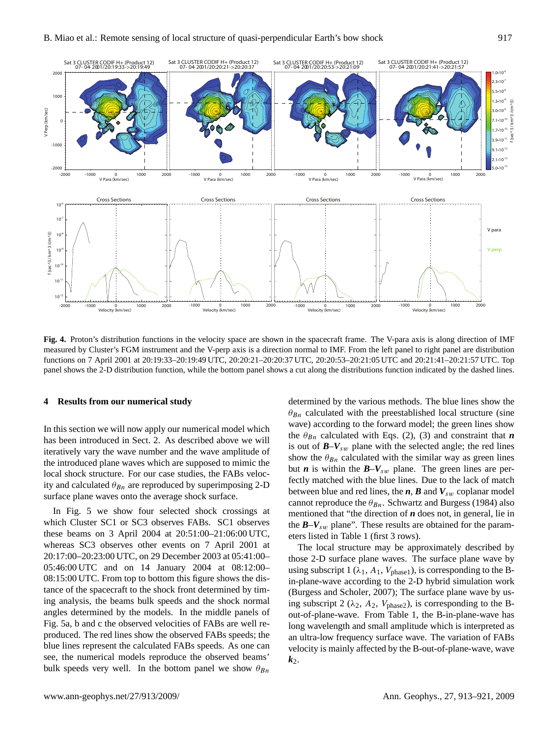

**Fig. 4.** Proton's distribution functions in the velocity space are shown in the spacecraft frame. The V-para axis is along direction of IMF measured by Cluster's FGM instrument and the V-perp axis is a direction normal to IMF. From the left panel to right panel are distribution functions on 7 April 2001 at 20:19:33–20:19:49 UTC, 20:20:21–20:20:37 UTC, 20:20:53–20:21:05 UTC and 20:21:41–20:21:57 UTC. Top panel shows the 2-D distribution function, while the bottom panel shows a cut along the distributions function indicated by the dashed lines.

#### **4 Results from our numerical study**

In this section we will now apply our numerical model which has been introduced in Sect. 2. As described above we will iteratively vary the wave number and the wave amplitude of the introduced plane waves which are supposed to mimic the local shock structure. For our case studies, the FABs velocity and calculated  $\theta_{Bn}$  are reproduced by superimposing 2-D surface plane waves onto the average shock surface.

In Fig. 5 we show four selected shock crossings at which Cluster SC1 or SC3 observes FABs. SC1 observes these beams on 3 April 2004 at 20:51:00–21:06:00 UTC, whereas SC3 observes other events on 7 April 2001 at 20:17:00–20:23:00 UTC, on 29 December 2003 at 05:41:00– 05:46:00 UTC and on 14 January 2004 at 08:12:00– 08:15:00 UTC. From top to bottom this figure shows the distance of the spacecraft to the shock front determined by timing analysis, the beams bulk speeds and the shock normal angles determined by the models. In the middle panels of Fig. 5a, b and c the observed velocities of FABs are well reproduced. The red lines show the observed FABs speeds; the blue lines represent the calculated FABs speeds. As one can see, the numerical models reproduce the observed beams' bulk speeds very well. In the bottom panel we show  $\theta_{Bn}$ 

determined by the various methods. The blue lines show the  $\theta_{Bn}$  calculated with the preestablished local structure (sine wave) according to the forward model; the green lines show the  $\theta_{Bn}$  calculated with Eqs. (2), (3) and constraint that *n* is out of  $B - V_{sw}$  plane with the selected angle; the red lines show the  $\theta_{Bn}$  calculated with the similar way as green lines but *n* is within the  $B - V_{sw}$  plane. The green lines are perfectly matched with the blue lines. Due to the lack of match between blue and red lines, the  $n$ ,  $B$  and  $V_{sw}$  coplanar model cannot reproduce the  $\theta_{Bn}$ . [Schwartz and Burgess](#page-8-9) [\(1984\)](#page-8-9) also mentioned that "the direction of *n* does not, in general, lie in the  $B-V_{sw}$  plane". These results are obtained for the parameters listed in Table 1 (first 3 rows).

The local structure may be approximately described by those 2-D surface plane waves. The surface plane wave by using subscript 1 ( $\lambda_1$ ,  $A_1$ ,  $V_{phase1}$ ), is corresponding to the Bin-plane-wave according to the 2-D hybrid simulation work [\(Burgess and Scholer,](#page-7-4) [2007\)](#page-7-4); The surface plane wave by using subscript 2 ( $\lambda_2$ ,  $A_2$ ,  $V_{phase2}$ ), is corresponding to the Bout-of-plane-wave. From Table 1, the B-in-plane-wave has long wavelength and small amplitude which is interpreted as an ultra-low frequency surface wave. The variation of FABs velocity is mainly affected by the B-out-of-plane-wave, wave *k*2.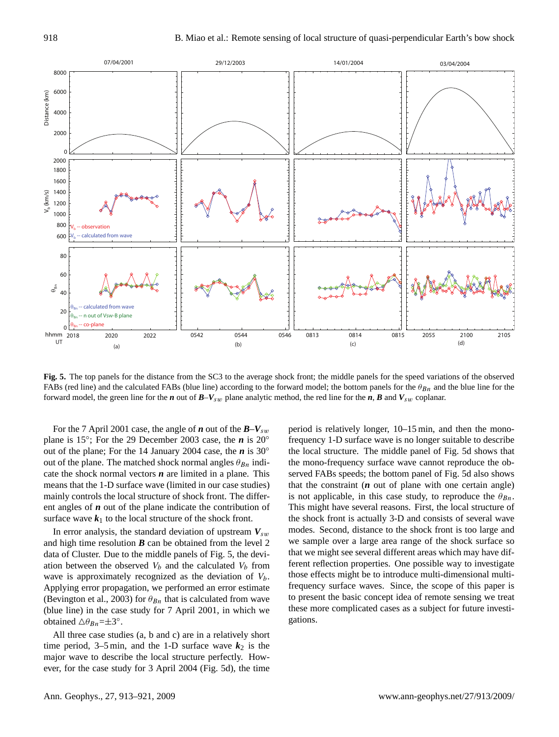

**Fig. 5.** The top panels for the distance from the SC3 to the average shock front; the middle panels for the speed variations of the observed FABs (red line) and the calculated FABs (blue line) according to the forward model; the bottom panels for the  $\theta_{Bn}$  and the blue line for the forward model, the green line for the *n* out of  $B-V_{SW}$  plane analytic method, the red line for the *n*, *B* and  $V_{SW}$  coplanar.

For the 7 April 2001 case, the angle of *n* out of the  $B-V_{sw}$ plane is 15◦ ; For the 29 December 2003 case, the *n* is 20◦ out of the plane; For the 14 January 2004 case, the *n* is 30◦ out of the plane. The matched shock normal angles  $\theta_{Bn}$  indicate the shock normal vectors *n* are limited in a plane. This means that the 1-D surface wave (limited in our case studies) mainly controls the local structure of shock front. The different angles of *n* out of the plane indicate the contribution of surface wave  $k_1$  to the local structure of the shock front.

In error analysis, the standard deviation of upstream  $V_{sw}$ and high time resolution  $\bm{B}$  can be obtained from the level 2 data of Cluster. Due to the middle panels of Fig. 5, the deviation between the observed  $V_b$  and the calculated  $V_b$  from wave is approximately recognized as the deviation of  $V_b$ . Applying error propagation, we performed an error estimate [\(Bevington et al.,](#page-7-7) [2003\)](#page-7-7) for  $\theta_{Bn}$  that is calculated from wave (blue line) in the case study for 7 April 2001, in which we obtained  $\triangle \theta_{Bn} = \pm 3^{\circ}$ .

All three case studies (a, b and c) are in a relatively short time period,  $3-5$  min, and the 1-D surface wave  $k_2$  is the major wave to describe the local structure perfectly. However, for the case study for 3 April 2004 (Fig. 5d), the time

period is relatively longer, 10–15 min, and then the monofrequency 1-D surface wave is no longer suitable to describe the local structure. The middle panel of Fig. 5d shows that the mono-frequency surface wave cannot reproduce the observed FABs speeds; the bottom panel of Fig. 5d also shows that the constraint  $(n$  out of plane with one certain angle) is not applicable, in this case study, to reproduce the  $\theta_{Bn}$ . This might have several reasons. First, the local structure of the shock front is actually 3-D and consists of several wave modes. Second, distance to the shock front is too large and we sample over a large area range of the shock surface so that we might see several different areas which may have different reflection properties. One possible way to investigate those effects might be to introduce multi-dimensional multifrequency surface waves. Since, the scope of this paper is to present the basic concept idea of remote sensing we treat these more complicated cases as a subject for future investigations.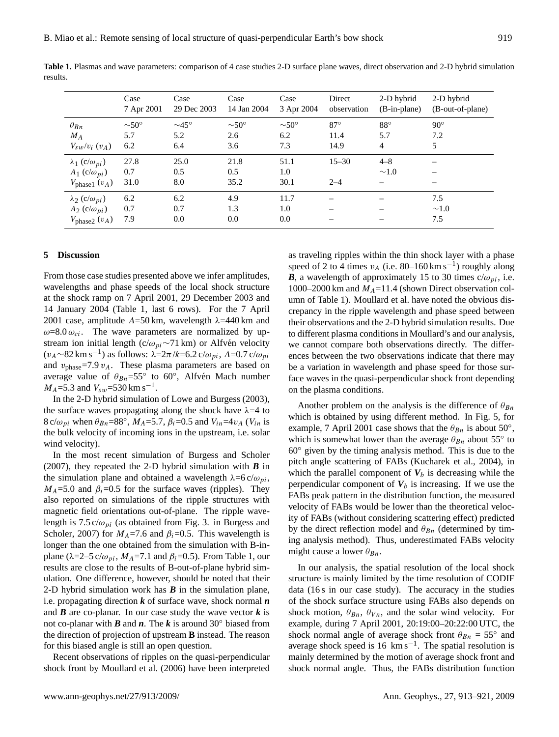| Case<br>7 Apr 2001<br>29 Dec 2003 | Case<br>14 Jan 2004 | Case              | Direct      | 2-D hybrid     | 2-D hybrid       |
|-----------------------------------|---------------------|-------------------|-------------|----------------|------------------|
|                                   |                     | 3 Apr 2004        | observation | $(B-in-plane)$ | (B-out-of-plane) |
| $\sim$ 45°                        | $\sim 50^{\circ}$   | $\sim 50^{\circ}$ | $87^\circ$  | $88^\circ$     | $90^\circ$       |
| 5.2                               | 2.6                 | 6.2               | 11.4        | 5.7            | 7.2              |
| 6.4                               | 3.6                 | 7.3               | 14.9        | 4              | 5                |
| 25.0                              | 21.8                | 51.1              | $15 - 30$   | $4 - 8$        |                  |
| 0.5                               | 0.5                 | 1.0               |             | $\sim1.0$      |                  |
| 8.0                               | 35.2                | 30.1              | $2 - 4$     |                |                  |
| 6.2                               | 4.9                 | 11.7              |             |                | 7.5              |
| 0.7                               | 1.3                 | 1.0               |             |                | $\sim1.0$        |
| 0.0                               | 0.0                 | 0.0               |             |                | 7.5              |
|                                   |                     |                   |             |                |                  |

**Table 1.** Plasmas and wave parameters: comparison of 4 case studies 2-D surface plane waves, direct observation and 2-D hybrid simulation results.

## **5 Discussion**

From those case studies presented above we infer amplitudes, wavelengths and phase speeds of the local shock structure at the shock ramp on 7 April 2001, 29 December 2003 and 14 January 2004 (Table 1, last 6 rows). For the 7 April 2001 case, amplitude  $A=50 \text{ km}$ , wavelength  $\lambda=440 \text{ km}$  and  $\omega=8.0 \omega_{ci}$ . The wave parameters are normalized by upstream ion initial length (c/ $\omega_{pi}$ ∼71 km) or Alfvén velocity  $(v_A \sim 82 \text{ km s}^{-1})$  as follows:  $\lambda = 2\pi/k = 6.2 \text{ c}/\omega_{pi}$ , A=0.7 c/ $\omega_{pi}$ and  $v_{phase} = 7.9 v_A$ . These plasma parameters are based on average value of  $\theta_{Bn} = 55^{\circ}$  to 60°, Alfvén Mach number  $M_A = 5.3$  and  $V_{sw} = 530 \text{ km s}^{-1}$ .

In the 2-D hybrid simulation of [Lowe and Burgess](#page-8-4) [\(2003\)](#page-8-4), the surface waves propagating along the shock have  $\lambda = 4$  to 8 c/ $\omega_{pi}$  when  $\theta_{Bn}$ =88°,  $M_A$ =5.7,  $\beta_i$ =0.5 and  $V_{in}$ =4 $v_A$  ( $V_{in}$  is the bulk velocity of incoming ions in the upstream, i.e. solar wind velocity).

In the most recent simulation of [Burgess and Scholer](#page-7-4) [\(2007\)](#page-7-4), they repeated the 2-D hybrid simulation with *B* in the simulation plane and obtained a wavelength  $\lambda = 6 \, c/\omega_{pi}$ ,  $M_A$ =5.0 and  $\beta_i$ =0.5 for the surface waves (ripples). They also reported on simulations of the ripple structures with magnetic field orientations out-of-plane. The ripple wavelength is 7.5 c/ $\omega_{pi}$  (as obtained from Fig. 3. in [Burgess and](#page-7-4) [Scholer,](#page-7-4) [2007\)](#page-7-4) for  $M_A$ =7.6 and  $\beta_i$ =0.5. This wavelength is longer than the one obtained from the simulation with B-inplane ( $\lambda$ =2–5 c/ $\omega_{ni}$ ,  $M_A$ =7.1 and  $\beta_i$ =0.5). From Table 1, our results are close to the results of B-out-of-plane hybrid simulation. One difference, however, should be noted that their 2-D hybrid simulation work has *B* in the simulation plane, i.e. propagating direction *k* of surface wave, shock normal *n* and  $\bm{B}$  are co-planar. In our case study the wave vector  $\bm{k}$  is not co-planar with *B* and *n*. The *k* is around 30 $\degree$  biased from the direction of projection of upstream **B** instead. The reason for this biased angle is still an open question.

Recent observations of ripples on the quasi-perpendicular shock front by [Moullard et al.](#page-8-5) [\(2006\)](#page-8-5) have been interpreted as traveling ripples within the thin shock layer with a phase speed of 2 to 4 times  $v_A$  (i.e. 80–160 km s<sup>-1</sup>) roughly along *B*, a wavelength of approximately 15 to 30 times  $c/\omega_{pi}$ , i.e. 1000–2000 km and  $M_A$ =11.4 (shown Direct observation column of Table 1). Moullard et al. have noted the obvious discrepancy in the ripple wavelength and phase speed between their observations and the 2-D hybrid simulation results. Due to different plasma conditions in Moullard's and our analysis, we cannot compare both observations directly. The differences between the two observations indicate that there may be a variation in wavelength and phase speed for those surface waves in the quasi-perpendicular shock front depending on the plasma conditions.

Another problem on the analysis is the difference of  $\theta_{Bn}$ which is obtained by using different method. In Fig. 5, for example, 7 April 2001 case shows that the  $\theta_{Bn}$  is about 50°, which is somewhat lower than the average  $\theta_{Bn}$  about 55° to 60◦ given by the timing analysis method. This is due to the pitch angle scattering of FABs [\(Kucharek et al.,](#page-8-2) [2004\)](#page-8-2), in which the parallel component of  $V_b$  is decreasing while the perpendicular component of  $V_b$  is increasing. If we use the FABs peak pattern in the distribution function, the measured velocity of FABs would be lower than the theoretical velocity of FABs (without considering scattering effect) predicted by the direct reflection model and  $\theta_{Bn}$  (determined by timing analysis method). Thus, underestimated FABs velocity might cause a lower  $\theta_{Bn}$ .

In our analysis, the spatial resolution of the local shock structure is mainly limited by the time resolution of CODIF data (16 s in our case study). The accuracy in the studies of the shock surface structure using FABs also depends on shock motion,  $\theta_{Bn}$ ,  $\theta_{Vn}$ , and the solar wind velocity. For example, during 7 April 2001, 20:19:00–20:22:00 UTC, the shock normal angle of average shock front  $\theta_{Bn} = 55^\circ$  and average shock speed is 16  $km s^{-1}$ . The spatial resolution is mainly determined by the motion of average shock front and shock normal angle. Thus, the FABs distribution function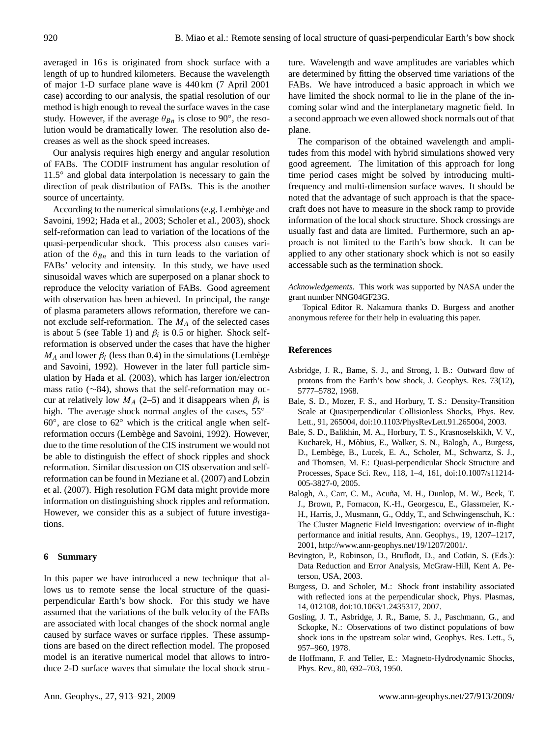averaged in 16 s is originated from shock surface with a length of up to hundred kilometers. Because the wavelength of major 1-D surface plane wave is 440 km (7 April 2001 case) according to our analysis, the spatial resolution of our method is high enough to reveal the surface waves in the case study. However, if the average  $\theta_{Bn}$  is close to 90°, the resolution would be dramatically lower. The resolution also decreases as well as the shock speed increases.

Our analysis requires high energy and angular resolution of FABs. The CODIF instrument has angular resolution of 11.5◦ and global data interpolation is necessary to gain the direction of peak distribution of FABs. This is the another source of uncertainty.

According to the numerical simulations (e.g. Lembège and [Savoini,](#page-8-15) [1992;](#page-8-15) [Hada et al.,](#page-8-16) [2003;](#page-8-16) [Scholer et al.,](#page-8-17) [2003\)](#page-8-17), shock self-reformation can lead to variation of the locations of the quasi-perpendicular shock. This process also causes variation of the  $\theta_{Bn}$  and this in turn leads to the variation of FABs' velocity and intensity. In this study, we have used sinusoidal waves which are superposed on a planar shock to reproduce the velocity variation of FABs. Good agreement with observation has been achieved. In principal, the range of plasma parameters allows reformation, therefore we cannot exclude self-reformation. The  $M_A$  of the selected cases is about 5 (see Table 1) and  $\beta_i$  is 0.5 or higher. Shock selfreformation is observed under the cases that have the higher  $M_A$  and lower  $\beta_i$  (less than 0.4) in the simulations (Lembège [and Savoini,](#page-8-15) [1992\)](#page-8-15). However in the later full particle simulation by [Hada et al.](#page-8-16) [\(2003\)](#page-8-16), which has larger ion/electron mass ratio (∼84), shows that the self-reformation may occur at relatively low  $M_A$  (2–5) and it disappears when  $\beta_i$  is high. The average shock normal angles of the cases,  $55^{\circ}$ –  $60^\circ$ , are close to  $62^\circ$  which is the critical angle when self-reformation occurs (Lembège and Savoini, [1992\)](#page-8-15). However, due to the time resolution of the CIS instrument we would not be able to distinguish the effect of shock ripples and shock reformation. Similar discussion on CIS observation and selfreformation can be found in [Meziane et al.](#page-8-18) [\(2007\)](#page-8-18) and [Lobzin](#page-8-19) [et al.](#page-8-19) [\(2007\)](#page-8-19). High resolution FGM data might provide more information on distinguishing shock ripples and reformation. However, we consider this as a subject of future investigations.

## **6 Summary**

In this paper we have introduced a new technique that allows us to remote sense the local structure of the quasiperpendicular Earth's bow shock. For this study we have assumed that the variations of the bulk velocity of the FABs are associated with local changes of the shock normal angle caused by surface waves or surface ripples. These assumptions are based on the direct reflection model. The proposed model is an iterative numerical model that allows to introduce 2-D surface waves that simulate the local shock structure. Wavelength and wave amplitudes are variables which are determined by fitting the observed time variations of the FABs. We have introduced a basic approach in which we have limited the shock normal to lie in the plane of the incoming solar wind and the interplanetary magnetic field. In a second approach we even allowed shock normals out of that plane.

The comparison of the obtained wavelength and amplitudes from this model with hybrid simulations showed very good agreement. The limitation of this approach for long time period cases might be solved by introducing multifrequency and multi-dimension surface waves. It should be noted that the advantage of such approach is that the spacecraft does not have to measure in the shock ramp to provide information of the local shock structure. Shock crossings are usually fast and data are limited. Furthermore, such an approach is not limited to the Earth's bow shock. It can be applied to any other stationary shock which is not so easily accessable such as the termination shock.

*Acknowledgements.* This work was supported by NASA under the grant number NNG04GF23G.

Topical Editor R. Nakamura thanks D. Burgess and another anonymous referee for their help in evaluating this paper.

#### **References**

- <span id="page-7-0"></span>Asbridge, J. R., Bame, S. J., and Strong, I. B.: Outward flow of protons from the Earth's bow shock, J. Geophys. Res. 73(12), 5777–5782, 1968.
- <span id="page-7-3"></span>Bale, S. D., Mozer, F. S., and Horbury, T. S.: Density-Transition Scale at Quasiperpendicular Collisionless Shocks, Phys. Rev. Lett., 91, 265004, doi:10.1103/PhysRevLett.91.265004, 2003.
- <span id="page-7-1"></span>Bale, S. D., Balikhin, M. A., Horbury, T. S., Krasnoselskikh, V. V., Kucharek, H., Möbius, E., Walker, S. N., Balogh, A., Burgess, D., Lembège, B., Lucek, E. A., Scholer, M., Schwartz, S. J., and Thomsen, M. F.: Quasi-perpendicular Shock Structure and Processes, Space Sci. Rev., 118, 1–4, 161, doi:10.1007/s11214- 005-3827-0, 2005.
- <span id="page-7-6"></span>Balogh, A., Carr, C. M., Acuña, M. H., Dunlop, M. W., Beek, T. J., Brown, P., Fornacon, K.-H., Georgescu, E., Glassmeier, K.- H., Harris, J., Musmann, G., Oddy, T., and Schwingenschuh, K.: The Cluster Magnetic Field Investigation: overview of in-flight performance and initial results, Ann. Geophys., 19, 1207–1217, 2001, [http://www.ann-geophys.net/19/1207/2001/.](http://www.ann-geophys.net/19/1207/2001/)
- <span id="page-7-7"></span>Bevington, P., Robinson, D., Bruflodt, D., and Cotkin, S. (Eds.): Data Reduction and Error Analysis, McGraw-Hill, Kent A. Peterson, USA, 2003.
- <span id="page-7-4"></span>Burgess, D. and Scholer, M.: Shock front instability associated with reflected ions at the perpendicular shock, Phys. Plasmas, 14, 012108, doi:10.1063/1.2435317, 2007.
- <span id="page-7-2"></span>Gosling, J. T., Asbridge, J. R., Bame, S. J., Paschmann, G., and Sckopke, N.: Observations of two distinct populations of bow shock ions in the upstream solar wind, Geophys. Res. Lett., 5, 957–960, 1978.
- <span id="page-7-5"></span>de Hoffmann, F. and Teller, E.: Magneto-Hydrodynamic Shocks, Phys. Rev., 80, 692–703, 1950.